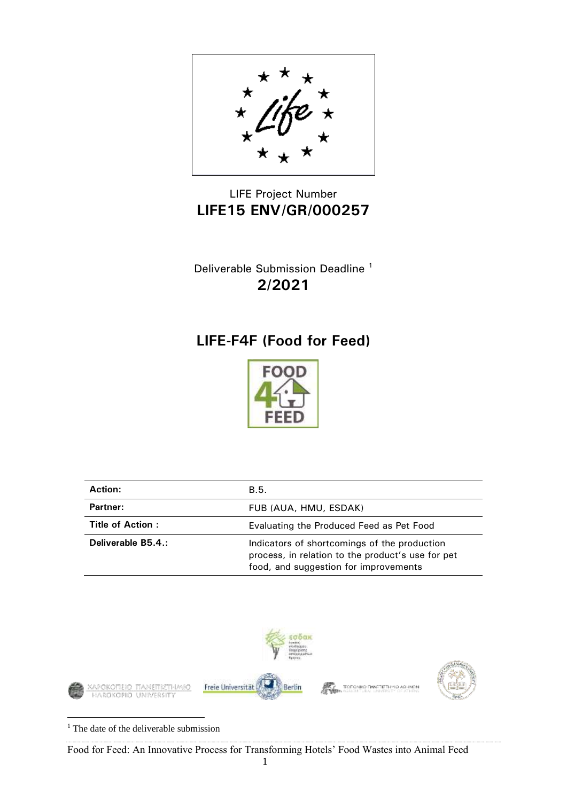

## LIFE Project Number **LIFE15 ENV/GR/000257**

Deliverable Submission Deadline <sup>1</sup> **2/2021**

# **LIFE-F4F (Food for Feed)**



| <b>Action:</b>     | B.5.                                                                                                                                       |
|--------------------|--------------------------------------------------------------------------------------------------------------------------------------------|
| Partner:           | FUB (AUA, HMU, ESDAK)                                                                                                                      |
| Title of Action:   | Evaluating the Produced Feed as Pet Food                                                                                                   |
| Deliverable B5.4.: | Indicators of shortcomings of the production<br>process, in relation to the product's use for pet<br>food, and suggestion for improvements |



<sup>1</sup> The date of the deliverable submission

Food for Feed: An Innovative Process for Transforming Hotels' Food Wastes into Animal Feed